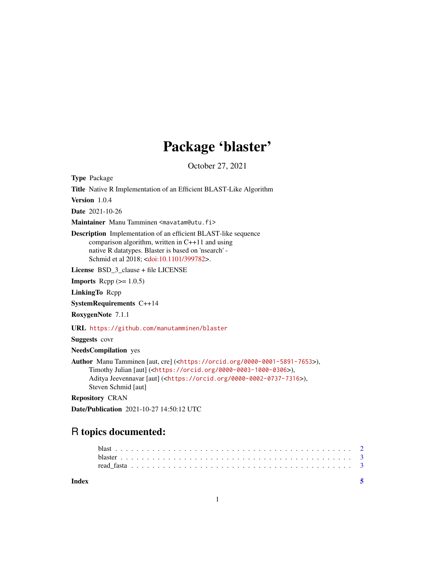## Package 'blaster'

October 27, 2021

Type Package

Title Native R Implementation of an Efficient BLAST-Like Algorithm

Version 1.0.4

Date 2021-10-26

Maintainer Manu Tamminen <mavatam@utu.fi>

Description Implementation of an efficient BLAST-like sequence comparison algorithm, written in C++11 and using native R datatypes. Blaster is based on 'nsearch' - Schmid et al 2018; [<doi:10.1101/399782>](https://doi.org/10.1101/399782).

License BSD\_3\_clause + file LICENSE

**Imports** Rcpp  $(>= 1.0.5)$ 

LinkingTo Rcpp

SystemRequirements C++14

RoxygenNote 7.1.1

URL <https://github.com/manutamminen/blaster>

Suggests covr

NeedsCompilation yes

Author Manu Tamminen [aut, cre] (<<https://orcid.org/0000-0001-5891-7653>>), Timothy Julian [aut] (<<https://orcid.org/0000-0003-1000-0306>>), Aditya Jeevennavar [aut] (<<https://orcid.org/0000-0002-0737-7316>>), Steven Schmid [aut]

Repository CRAN

Date/Publication 2021-10-27 14:50:12 UTC

### R topics documented:

| Index |  |  |  |  |  |  |  |  |  |  |  |  |  |  |  |  |  |  |  |  |  |
|-------|--|--|--|--|--|--|--|--|--|--|--|--|--|--|--|--|--|--|--|--|--|
|       |  |  |  |  |  |  |  |  |  |  |  |  |  |  |  |  |  |  |  |  |  |
|       |  |  |  |  |  |  |  |  |  |  |  |  |  |  |  |  |  |  |  |  |  |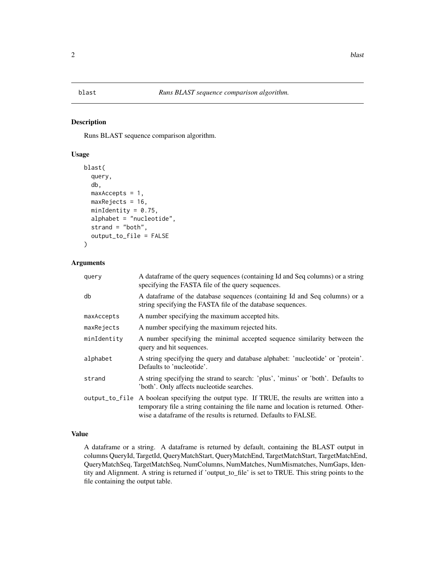#### <span id="page-1-0"></span>Description

Runs BLAST sequence comparison algorithm.

#### Usage

```
blast(
  query,
  db,
 maxAccess = 1,
 maxRejects = 16,
  minIdentity = 0.75,
  alphabet = "nucleotide",
  strand = "both",
  output_to_file = FALSE
)
```
#### Arguments

| query       | A data frame of the query sequences (containing Id and Seq columns) or a string<br>specifying the FASTA file of the query sequences.                                                                                                                 |
|-------------|------------------------------------------------------------------------------------------------------------------------------------------------------------------------------------------------------------------------------------------------------|
| db          | A dataframe of the database sequences (containing Id and Seq columns) or a<br>string specifying the FASTA file of the database sequences.                                                                                                            |
| maxAccepts  | A number specifying the maximum accepted hits.                                                                                                                                                                                                       |
| maxRejects  | A number specifying the maximum rejected hits.                                                                                                                                                                                                       |
| minIdentity | A number specifying the minimal accepted sequence similarity between the<br>query and hit sequences.                                                                                                                                                 |
| alphabet    | A string specifying the query and database alphabet: 'nucleotide' or 'protein'.<br>Defaults to 'nucleotide'.                                                                                                                                         |
| strand      | A string specifying the strand to search: 'plus', 'minus' or 'both'. Defaults to<br>'both'. Only affects nucleotide searches.                                                                                                                        |
|             | output_to_file A boolean specifying the output type. If TRUE, the results are written into a<br>temporary file a string containing the file name and location is returned. Other-<br>wise a dataframe of the results is returned. Defaults to FALSE. |

#### Value

A dataframe or a string. A dataframe is returned by default, containing the BLAST output in columns QueryId, TargetId, QueryMatchStart, QueryMatchEnd, TargetMatchStart, TargetMatchEnd, QueryMatchSeq, TargetMatchSeq, NumColumns, NumMatches, NumMismatches, NumGaps, Identity and Alignment. A string is returned if 'output\_to\_file' is set to TRUE. This string points to the file containing the output table.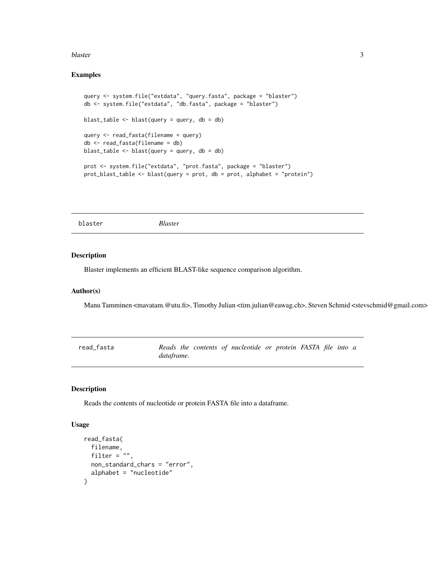#### <span id="page-2-0"></span>blaster 3

#### Examples

```
query <- system.file("extdata", "query.fasta", package = "blaster")
db <- system.file("extdata", "db.fasta", package = "blaster")
blast_table <- blast(query = query, db = db)
query <- read_fasta(filename = query)
db <- read_fasta(filename = db)
blast_table <- blast(query = query, db = db)
prot <- system.file("extdata", "prot.fasta", package = "blaster")
prot_blast_table <- blast(query = prot, db = prot, alphabet = "protein")
```
blaster *Blaster*

#### Description

Blaster implements an efficient BLAST-like sequence comparison algorithm.

#### Author(s)

Manu Tamminen <mavatam.@utu.fi>, Timothy Julian <tim.julian@eawag.ch>, Steven Schmid <stevschmid@gmail.com>

| read fasta |            |  | Reads the contents of nucleotide or protein FASTA file into a |  |  |  |
|------------|------------|--|---------------------------------------------------------------|--|--|--|
|            | dataframe. |  |                                                               |  |  |  |

#### Description

Reads the contents of nucleotide or protein FASTA file into a dataframe.

#### Usage

```
read_fasta(
 filename,
  filter = ".
 non_standard_chars = "error",
  alphabet = "nucleotide"
)
```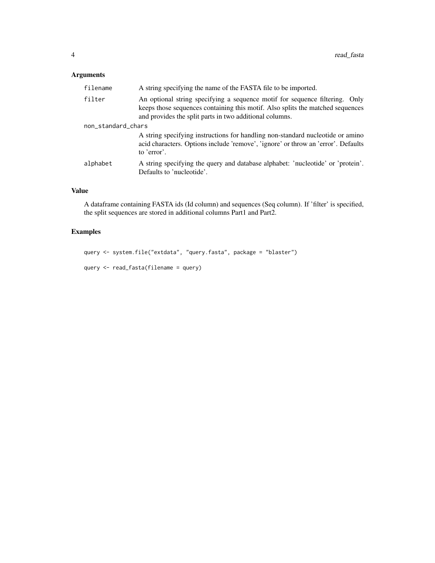#### Arguments

| filename           | A string specifying the name of the FASTA file to be imported.                                                                                                                                                           |
|--------------------|--------------------------------------------------------------------------------------------------------------------------------------------------------------------------------------------------------------------------|
| filter             | An optional string specifying a sequence motif for sequence filtering. Only<br>keeps those sequences containing this motif. Also splits the matched sequences<br>and provides the split parts in two additional columns. |
| non_standard_chars |                                                                                                                                                                                                                          |
|                    | A string specifying instructions for handling non-standard nucleotide or amino<br>acid characters. Options include 'remove', 'ignore' or throw an 'error'. Defaults<br>to 'error'.                                       |
| alphabet           | A string specifying the query and database alphabet: 'nucleotide' or 'protein'.<br>Defaults to 'nucleotide'.                                                                                                             |

#### Value

A dataframe containing FASTA ids (Id column) and sequences (Seq column). If 'filter' is specified, the split sequences are stored in additional columns Part1 and Part2.

#### Examples

```
query <- system.file("extdata", "query.fasta", package = "blaster")
query <- read_fasta(filename = query)
```